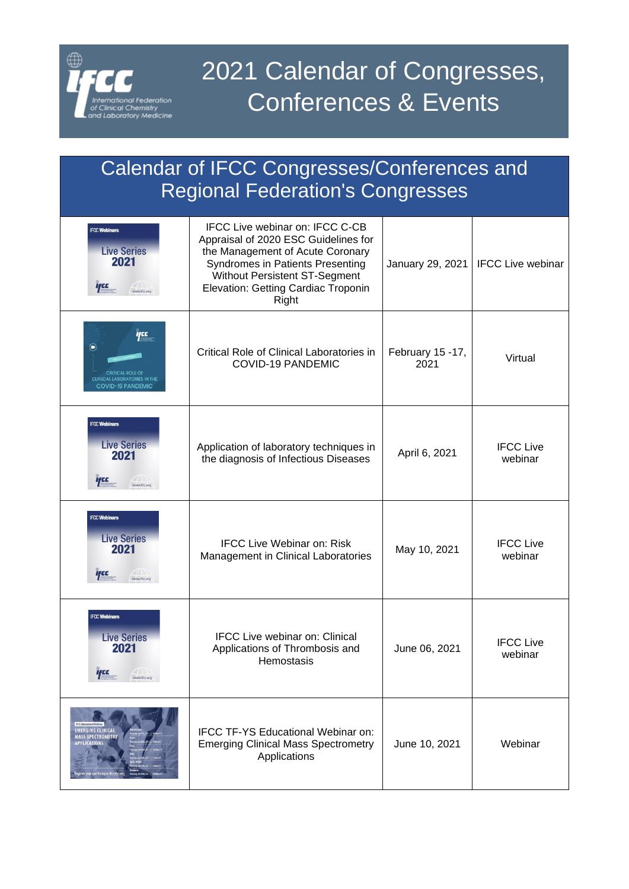

## Calendar of IFCC Congresses/Conferences and Regional Federation's Congresses

| <b>IFCC Webinars</b><br><b>Live Series</b><br>2021<br>yce<br>www.ifcc.org                  | <b>IFCC Live webinar on: IFCC C-CB</b><br>Appraisal of 2020 ESC Guidelines for<br>the Management of Acute Coronary<br>Syndromes in Patients Presenting<br>Without Persistent ST-Segment<br>Elevation: Getting Cardiac Troponin<br>Right | January 29, 2021         | <b>IFCC Live webinar</b>    |
|--------------------------------------------------------------------------------------------|-----------------------------------------------------------------------------------------------------------------------------------------------------------------------------------------------------------------------------------------|--------------------------|-----------------------------|
| fCC<br>$(\blacksquare)$<br><b>CLINICAL LABORATORIES IN THE</b><br><b>COVID-19 PANDEMIC</b> | Critical Role of Clinical Laboratories in<br><b>COVID-19 PANDEMIC</b>                                                                                                                                                                   | February 15 -17,<br>2021 | Virtual                     |
| <b>IFCC Webinars</b><br><b>Live Series</b><br>2021<br><b>Ifcc</b><br>www.ifcc.org          | Application of laboratory techniques in<br>the diagnosis of Infectious Diseases                                                                                                                                                         | April 6, 2021            | <b>IFCC Live</b><br>webinar |
| <b>IFCC Webinars</b><br><b>Live Series</b><br>2021<br>l cc<br>www.ifee.org                 | <b>IFCC Live Webinar on: Risk</b><br>Management in Clinical Laboratories                                                                                                                                                                | May 10, 2021             | <b>IFCC Live</b><br>webinar |
| <b>IFCC Webinars</b><br><b>Live Series</b><br>2021<br><b>Ifce</b><br>www.ifcc.org          | <b>IFCC Live webinar on: Clinical</b><br>Applications of Thrombosis and<br>Hemostasis                                                                                                                                                   | June 06, 2021            | <b>IFCC Live</b><br>webinar |
| <b>EMERGING CLINICAL</b><br><b>MASS SPECTROMETRY</b><br>APPLICATIONS                       | IFCC TF-YS Educational Webinar on:<br><b>Emerging Clinical Mass Spectrometry</b><br>Applications                                                                                                                                        | June 10, 2021            | Webinar                     |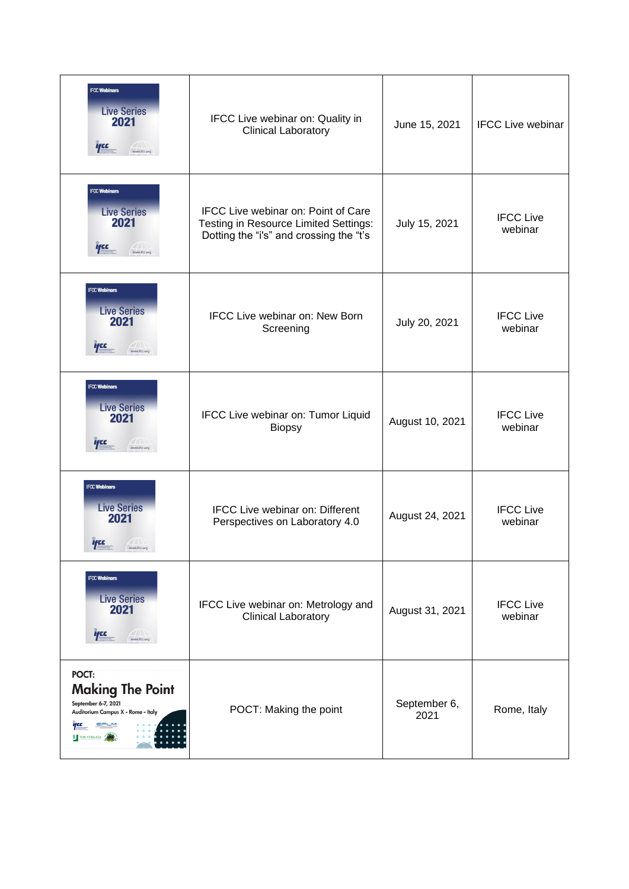| <b>IFCC Webinars</b><br><b>Live Series</b><br>2021<br>ifce<br>www.ifcc.org                                                   | IFCC Live webinar on: Quality in<br><b>Clinical Laboratory</b>                                                                 | June 15, 2021        | <b>IFCC Live webinar</b>    |
|------------------------------------------------------------------------------------------------------------------------------|--------------------------------------------------------------------------------------------------------------------------------|----------------------|-----------------------------|
| <b>IFCC Webinars</b><br><b>Live Series</b><br>2021<br>ifce<br>www.ifcc.org                                                   | <b>IFCC Live webinar on: Point of Care</b><br>Testing in Resource Limited Settings:<br>Dotting the "i's" and crossing the "t's | July 15, 2021        | <b>IFCC Live</b><br>webinar |
| <b>IFCC Webinars</b><br><b>Live Series</b><br>2021<br>$T_{\rm esc}$<br>www.ifcc.org                                          | IFCC Live webinar on: New Born<br>Screening                                                                                    | July 20, 2021        | <b>IFCC Live</b><br>webinar |
| <b>IFCC Webinars</b><br><b>Live Series</b><br>2021<br><b>ifce</b><br>www.ifcc.org                                            | IFCC Live webinar on: Tumor Liquid<br><b>Biopsy</b>                                                                            | August 10, 2021      | <b>IFCC Live</b><br>webinar |
| <b>IFCC Webinars</b><br><b>Live Series</b><br>2021<br>7779                                                                   | <b>IFCC Live webinar on: Different</b><br>Perspectives on Laboratory 4.0                                                       | August 24, 2021      | <b>IFCC Live</b><br>webinar |
| <b>IFCC Webinars</b><br><b>Live Series</b><br>2021<br><b>Ifcc</b><br>www.ifcc.org                                            | IFCC Live webinar on: Metrology and<br><b>Clinical Laboratory</b>                                                              | August 31, 2021      | <b>IFCC Live</b><br>webinar |
| POCT:<br><b>Making The Point</b><br>September 6-7, 2021<br>Auditorium Campus X - Rome - Italy<br>EFLM<br>ifcc<br>TOR VERGATA | POCT: Making the point                                                                                                         | September 6,<br>2021 | Rome, Italy                 |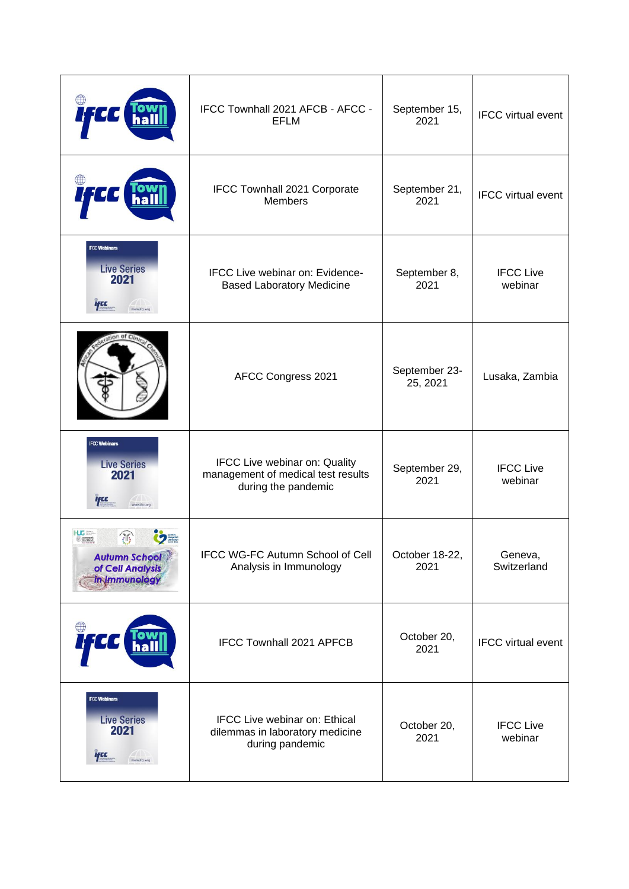|                                                                                          | IFCC Townhall 2021 AFCB - AFCC -<br><b>EFLM</b>                                            | September 15,<br>2021     | <b>IFCC</b> virtual event   |
|------------------------------------------------------------------------------------------|--------------------------------------------------------------------------------------------|---------------------------|-----------------------------|
|                                                                                          | IFCC Townhall 2021 Corporate<br><b>Members</b>                                             | September 21,<br>2021     | <b>IFCC</b> virtual event   |
| <b>IFCC Webinars</b><br><b>Live Series</b><br>2021<br><b>Ifcc</b><br>w.ifcc.org          | IFCC Live webinar on: Evidence-<br><b>Based Laboratory Medicine</b>                        | September 8,<br>2021      | <b>IFCC Live</b><br>webinar |
|                                                                                          | AFCC Congress 2021                                                                         | September 23-<br>25, 2021 | Lusaka, Zambia              |
| <b>IFCC Webinars</b><br><b>Live Series</b><br>2021<br><i><b>Ifce</b></i><br>www.ifcc.org | IFCC Live webinar on: Quality<br>management of medical test results<br>during the pandemic | September 29,<br>2021     | <b>IFCC Live</b><br>webinar |
| $\mathbb{R}$<br>DE GENEVE<br><b>Autumn School</b><br>of Cell Analysis<br>in Immunology   | IFCC WG-FC Autumn School of Cell<br>Analysis in Immunology                                 | October 18-22,<br>2021    | Geneva,<br>Switzerland      |
|                                                                                          | <b>IFCC Townhall 2021 APFCB</b>                                                            | October 20,<br>2021       | <b>IFCC</b> virtual event   |
| <b>IFCC Webinars</b><br><b>Live Series</b><br>2021<br><b>ifce</b><br>www.ifcc.org        | IFCC Live webinar on: Ethical<br>dilemmas in laboratory medicine<br>during pandemic        | October 20,<br>2021       | <b>IFCC Live</b><br>webinar |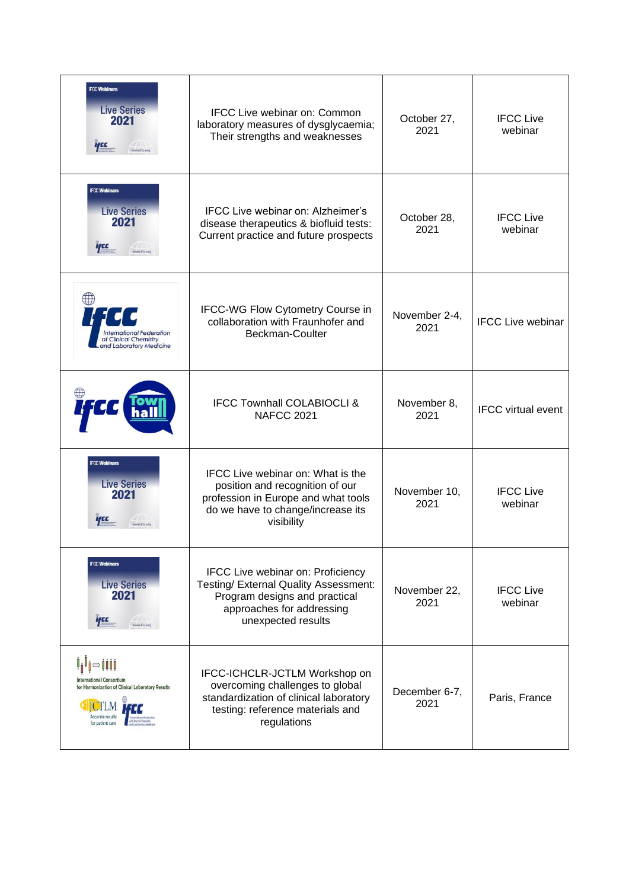| <b>IFCC Webinars</b><br><b>Live Series</b><br>2021<br>цсс<br>www.ifcc.org                                           | <b>IFCC Live webinar on: Common</b><br>laboratory measures of dysglycaemia;<br>Their strengths and weaknesses                                                         | October 27,<br>2021   | <b>IFCC Live</b><br>webinar |
|---------------------------------------------------------------------------------------------------------------------|-----------------------------------------------------------------------------------------------------------------------------------------------------------------------|-----------------------|-----------------------------|
| <b>IFCC Webinars</b><br><b>Live Series</b><br>2021<br>ηсε<br>www.ifcc.org                                           | IFCC Live webinar on: Alzheimer's<br>disease therapeutics & biofluid tests:<br>Current practice and future prospects                                                  | October 28,<br>2021   | <b>IFCC Live</b><br>webinar |
| <b>International Federation</b><br>of Clinical Chemistry<br>and Laboratory Medicine                                 | IFCC-WG Flow Cytometry Course in<br>collaboration with Fraunhofer and<br>Beckman-Coulter                                                                              | November 2-4,<br>2021 | <b>IFCC Live webinar</b>    |
|                                                                                                                     | <b>IFCC Townhall COLABIOCLI &amp;</b><br><b>NAFCC 2021</b>                                                                                                            | November 8,<br>2021   | <b>IFCC</b> virtual event   |
| <b>IFCC Webinars</b><br><b>Live Series</b><br>2021<br>ww.ifee.org                                                   | <b>IFCC Live webinar on: What is the</b><br>position and recognition of our<br>profession in Europe and what tools<br>do we have to change/increase its<br>visibility | November 10,<br>2021  | <b>IFCC Live</b><br>webinar |
| <b>IFCC Webinars</b><br><b>Live Series</b><br>2021<br><b>ifce</b><br>www.ifcc.org                                   | IFCC Live webinar on: Proficiency<br>Testing/ External Quality Assessment:<br>Program designs and practical<br>approaches for addressing<br>unexpected results        | November 22,<br>2021  | <b>IFCC Live</b><br>webinar |
| International Consortium<br>for Harmonization of Clinical Laboratory Results<br>ccurate results<br>for patient care | IFCC-ICHCLR-JCTLM Workshop on<br>overcoming challenges to global<br>standardization of clinical laboratory<br>testing: reference materials and<br>regulations         | December 6-7,<br>2021 | Paris, France               |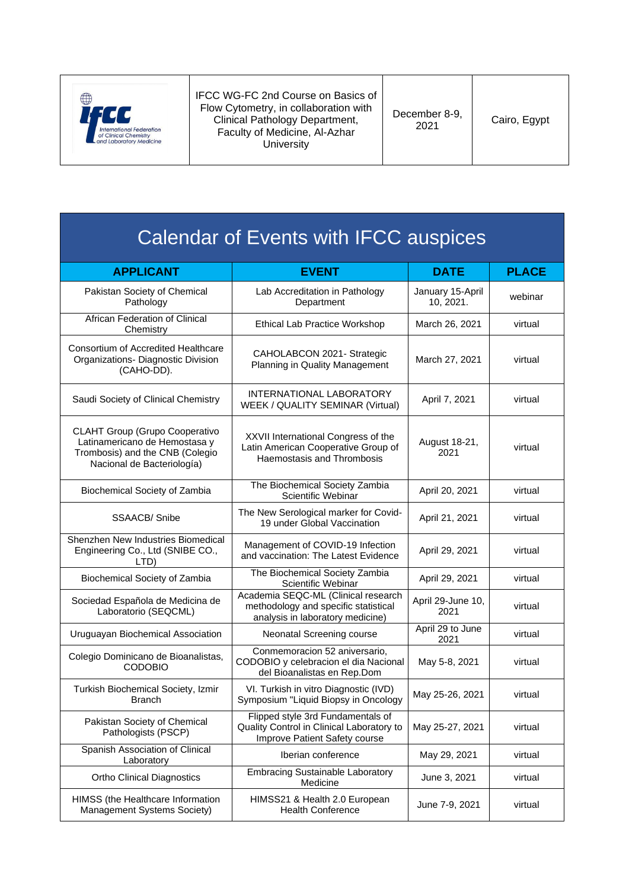

IFCC WG-FC 2nd Course on Basics of Flow Cytometry, in collaboration with Clinical Pathology Department, Faculty of Medicine, Al-Azhar **University** 

December 8-9,

| Calendar of Events with IFCC auspices |  |
|---------------------------------------|--|

| <b>APPLICANT</b>                                                                                                                        | <b>EVENT</b>                                                                                                    | <b>DATE</b>                   | <b>PLACE</b> |
|-----------------------------------------------------------------------------------------------------------------------------------------|-----------------------------------------------------------------------------------------------------------------|-------------------------------|--------------|
| Pakistan Society of Chemical<br>Pathology                                                                                               | Lab Accreditation in Pathology<br>Department                                                                    | January 15-April<br>10, 2021. | webinar      |
| African Federation of Clinical<br>Chemistry                                                                                             | Ethical Lab Practice Workshop                                                                                   | March 26, 2021                | virtual      |
| <b>Consortium of Accredited Healthcare</b><br>Organizations- Diagnostic Division<br>(CAHO-DD).                                          | CAHOLABCON 2021- Strategic<br>Planning in Quality Management                                                    | March 27, 2021                | virtual      |
| Saudi Society of Clinical Chemistry                                                                                                     | <b>INTERNATIONAL LABORATORY</b><br>WEEK / QUALITY SEMINAR (Virtual)                                             | April 7, 2021                 | virtual      |
| <b>CLAHT Group (Grupo Cooperativo</b><br>Latinamericano de Hemostasa y<br>Trombosis) and the CNB (Colegio<br>Nacional de Bacteriología) | XXVII International Congress of the<br>Latin American Cooperative Group of<br>Haemostasis and Thrombosis        | August 18-21,<br>2021         | virtual      |
| Biochemical Society of Zambia                                                                                                           | The Biochemical Society Zambia<br>Scientific Webinar                                                            | April 20, 2021                | virtual      |
| <b>SSAACB/Snibe</b>                                                                                                                     | The New Serological marker for Covid-<br>19 under Global Vaccination                                            | April 21, 2021                | virtual      |
| Shenzhen New Industries Biomedical<br>Engineering Co., Ltd (SNIBE CO.,<br>LTD)                                                          | Management of COVID-19 Infection<br>and vaccination: The Latest Evidence                                        | April 29, 2021                | virtual      |
| Biochemical Society of Zambia                                                                                                           | The Biochemical Society Zambia<br>Scientific Webinar                                                            | April 29, 2021                | virtual      |
| Sociedad Española de Medicina de<br>Laboratorio (SEQCML)                                                                                | Academia SEQC-ML (Clinical research<br>methodology and specific statistical<br>analysis in laboratory medicine) | April 29-June 10,<br>2021     | virtual      |
| Uruguayan Biochemical Association                                                                                                       | Neonatal Screening course                                                                                       | April 29 to June<br>2021      | virtual      |
| Colegio Dominicano de Bioanalistas,<br><b>CODOBIO</b>                                                                                   | Conmemoracion 52 aniversario,<br>CODOBIO y celebracion el dia Nacional<br>del Bioanalistas en Rep.Dom           | May 5-8, 2021                 | virtual      |
| Turkish Biochemical Society, Izmir<br><b>Branch</b>                                                                                     | VI. Turkish in vitro Diagnostic (IVD)<br>Symposium "Liquid Biopsy in Oncology                                   | May 25-26, 2021               | virtual      |
| Pakistan Society of Chemical<br>Pathologists (PSCP)                                                                                     | Flipped style 3rd Fundamentals of<br>Quality Control in Clinical Laboratory to<br>Improve Patient Safety course | May 25-27, 2021               | virtual      |
| Spanish Association of Clinical<br>Laboratory                                                                                           | Iberian conference                                                                                              | May 29, 2021                  | virtual      |
| <b>Ortho Clinical Diagnostics</b>                                                                                                       | <b>Embracing Sustainable Laboratory</b><br>Medicine                                                             | June 3, 2021                  | virtual      |
| HIMSS (the Healthcare Information<br>Management Systems Society)                                                                        | HIMSS21 & Health 2.0 European<br><b>Health Conference</b>                                                       | June 7-9, 2021                | virtual      |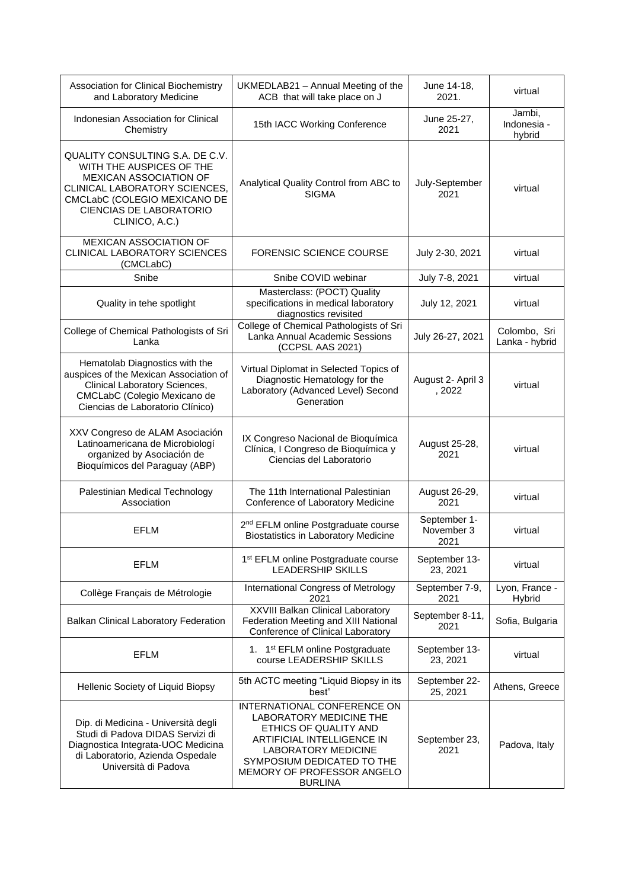| Association for Clinical Biochemistry<br>and Laboratory Medicine                                                                                                                                                  | UKMEDLAB21 - Annual Meeting of the<br>ACB that will take place on J                                                                                                                                                       | June 14-18,<br>2021.               | virtual                         |
|-------------------------------------------------------------------------------------------------------------------------------------------------------------------------------------------------------------------|---------------------------------------------------------------------------------------------------------------------------------------------------------------------------------------------------------------------------|------------------------------------|---------------------------------|
| Indonesian Association for Clinical<br>Chemistry                                                                                                                                                                  | 15th IACC Working Conference                                                                                                                                                                                              | June 25-27,<br>2021                | Jambi,<br>Indonesia -<br>hybrid |
| QUALITY CONSULTING S.A. DE C.V.<br>WITH THE AUSPICES OF THE<br><b>MEXICAN ASSOCIATION OF</b><br>CLINICAL LABORATORY SCIENCES,<br>CMCLabC (COLEGIO MEXICANO DE<br><b>CIENCIAS DE LABORATORIO</b><br>CLINICO, A.C.) | Analytical Quality Control from ABC to<br><b>SIGMA</b>                                                                                                                                                                    | July-September<br>2021             | virtual                         |
| <b>MEXICAN ASSOCIATION OF</b><br>CLINICAL LABORATORY SCIENCES<br>(CMCLabC)                                                                                                                                        | <b>FORENSIC SCIENCE COURSE</b>                                                                                                                                                                                            | July 2-30, 2021                    | virtual                         |
| Snibe                                                                                                                                                                                                             | Snibe COVID webinar                                                                                                                                                                                                       | July 7-8, 2021                     | virtual                         |
| Quality in tehe spotlight                                                                                                                                                                                         | Masterclass: (POCT) Quality<br>specifications in medical laboratory<br>diagnostics revisited                                                                                                                              | July 12, 2021                      | virtual                         |
| College of Chemical Pathologists of Sri<br>Lanka                                                                                                                                                                  | College of Chemical Pathologists of Sri<br>Lanka Annual Academic Sessions<br>(CCPSL AAS 2021)                                                                                                                             | July 26-27, 2021                   | Colombo, Sri<br>Lanka - hybrid  |
| Hematolab Diagnostics with the<br>auspices of the Mexican Association of<br>Clinical Laboratory Sciences,<br>CMCLabC (Colegio Mexicano de<br>Ciencias de Laboratorio Clínico)                                     | Virtual Diplomat in Selected Topics of<br>Diagnostic Hematology for the<br>Laboratory (Advanced Level) Second<br>Generation                                                                                               | August 2- April 3<br>,2022         | virtual                         |
| XXV Congreso de ALAM Asociación<br>Latinoamericana de Microbiologí<br>organized by Asociación de<br>Bioquímicos del Paraguay (ABP)                                                                                | IX Congreso Nacional de Bioquímica<br>Clínica, I Congreso de Bioquímica y<br>Ciencias del Laboratorio                                                                                                                     | August 25-28,<br>2021              | virtual                         |
| Palestinian Medical Technology<br>Association                                                                                                                                                                     | The 11th International Palestinian<br>Conference of Laboratory Medicine                                                                                                                                                   | August 26-29,<br>2021              | virtual                         |
| <b>EFLM</b>                                                                                                                                                                                                       | 2 <sup>nd</sup> EFLM online Postgraduate course<br><b>Biostatistics in Laboratory Medicine</b>                                                                                                                            | September 1-<br>November 3<br>2021 | virtual                         |
| <b>EFLM</b>                                                                                                                                                                                                       | 1 <sup>st</sup> EFLM online Postgraduate course<br><b>LEADERSHIP SKILLS</b>                                                                                                                                               | September 13-<br>23, 2021          | virtual                         |
| Collège Français de Métrologie                                                                                                                                                                                    | International Congress of Metrology<br>2021                                                                                                                                                                               | September 7-9,<br>2021             | Lyon, France -<br>Hybrid        |
| Balkan Clinical Laboratory Federation                                                                                                                                                                             | <b>XXVIII Balkan Clinical Laboratory</b><br>Federation Meeting and XIII National<br>Conference of Clinical Laboratory                                                                                                     | September 8-11,<br>2021            | Sofia, Bulgaria                 |
| <b>EFLM</b>                                                                                                                                                                                                       | 1. 1 <sup>st</sup> EFLM online Postgraduate<br>course LEADERSHIP SKILLS                                                                                                                                                   | September 13-<br>23, 2021          | virtual                         |
| Hellenic Society of Liquid Biopsy                                                                                                                                                                                 | 5th ACTC meeting "Liquid Biopsy in its<br>best"                                                                                                                                                                           | September 22-<br>25, 2021          | Athens, Greece                  |
| Dip. di Medicina - Università degli<br>Studi di Padova DIDAS Servizi di<br>Diagnostica Integrata-UOC Medicina<br>di Laboratorio, Azienda Ospedale<br>Università di Padova                                         | INTERNATIONAL CONFERENCE ON<br>LABORATORY MEDICINE THE<br>ETHICS OF QUALITY AND<br>ARTIFICIAL INTELLIGENCE IN<br><b>LABORATORY MEDICINE</b><br>SYMPOSIUM DEDICATED TO THE<br>MEMORY OF PROFESSOR ANGELO<br><b>BURLINA</b> | September 23,<br>2021              | Padova, Italy                   |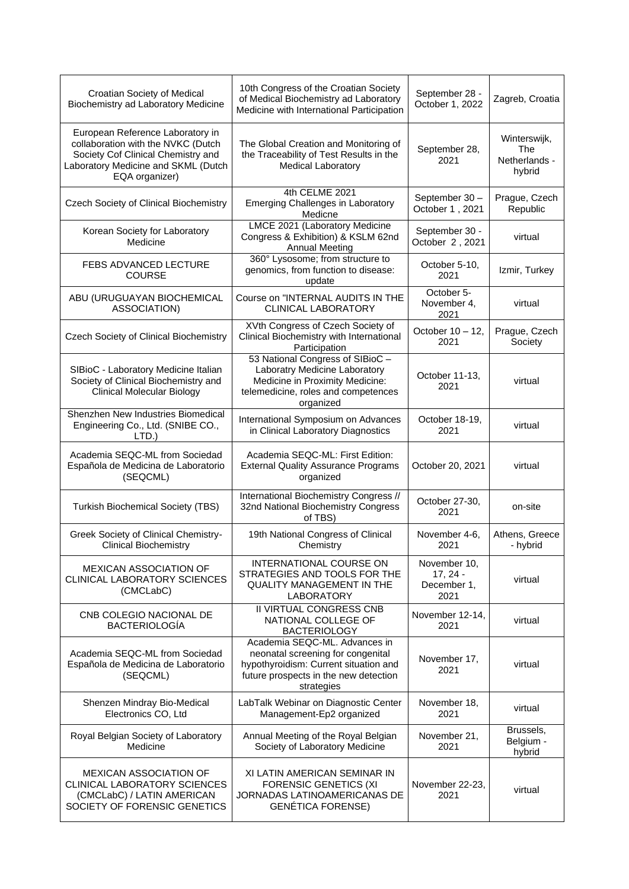| Croatian Society of Medical<br>Biochemistry ad Laboratory Medicine                                                                                                    | 10th Congress of the Croatian Society<br>of Medical Biochemistry ad Laboratory<br>Medicine with International Participation                                        | September 28 -<br>October 1, 2022                 | Zagreb, Croatia                                |
|-----------------------------------------------------------------------------------------------------------------------------------------------------------------------|--------------------------------------------------------------------------------------------------------------------------------------------------------------------|---------------------------------------------------|------------------------------------------------|
| European Reference Laboratory in<br>collaboration with the NVKC (Dutch<br>Society Cof Clinical Chemistry and<br>Laboratory Medicine and SKML (Dutch<br>EQA organizer) | The Global Creation and Monitoring of<br>the Traceability of Test Results in the<br><b>Medical Laboratory</b>                                                      | September 28,<br>2021                             | Winterswijk,<br>The<br>Netherlands -<br>hybrid |
| <b>Czech Society of Clinical Biochemistry</b>                                                                                                                         | 4th CELME 2021<br>Emerging Challenges in Laboratory<br>Medicne                                                                                                     | September 30-<br>October 1, 2021                  | Prague, Czech<br>Republic                      |
| Korean Society for Laboratory<br>Medicine                                                                                                                             | LMCE 2021 (Laboratory Medicine<br>Congress & Exhibition) & KSLM 62nd<br><b>Annual Meeting</b>                                                                      | September 30 -<br>October 2, 2021                 | virtual                                        |
| FEBS ADVANCED LECTURE<br><b>COURSE</b>                                                                                                                                | 360° Lysosome; from structure to<br>genomics, from function to disease:<br>update                                                                                  | October 5-10,<br>2021                             | Izmir, Turkey                                  |
| ABU (URUGUAYAN BIOCHEMICAL<br>ASSOCIATION)                                                                                                                            | Course on "INTERNAL AUDITS IN THE<br><b>CLINICAL LABORATORY</b>                                                                                                    | October 5-<br>November 4,<br>2021                 | virtual                                        |
| Czech Society of Clinical Biochemistry                                                                                                                                | XVth Congress of Czech Society of<br>Clinical Biochemistry with International<br>Participation                                                                     | October 10 - 12,<br>2021                          | Prague, Czech<br>Society                       |
| SIBioC - Laboratory Medicine Italian<br>Society of Clinical Biochemistry and<br><b>Clinical Molecular Biology</b>                                                     | 53 National Congress of SIBioC -<br>Laboratry Medicine Laboratory<br>Medicine in Proximity Medicine:<br>telemedicine, roles and competences<br>organized           | October 11-13,<br>2021                            | virtual                                        |
| Shenzhen New Industries Biomedical<br>Engineering Co., Ltd. (SNIBE CO.,<br>LTD.)                                                                                      | International Symposium on Advances<br>in Clinical Laboratory Diagnostics                                                                                          | October 18-19,<br>2021                            | virtual                                        |
| Academia SEQC-ML from Sociedad<br>Española de Medicina de Laboratorio<br>(SEQCML)                                                                                     | Academia SEQC-ML: First Edition:<br><b>External Quality Assurance Programs</b><br>organized                                                                        | October 20, 2021                                  | virtual                                        |
| <b>Turkish Biochemical Society (TBS)</b>                                                                                                                              | International Biochemistry Congress //<br>32nd National Biochemistry Congress<br>of TBS)                                                                           | October 27-30,<br>2021                            | on-site                                        |
| Greek Society of Clinical Chemistry-<br><b>Clinical Biochemistry</b>                                                                                                  | 19th National Congress of Clinical<br>Chemistry                                                                                                                    | November 4-6,<br>2021                             | Athens, Greece<br>- hybrid                     |
| <b>MEXICAN ASSOCIATION OF</b><br>CLINICAL LABORATORY SCIENCES<br>(CMCLabC)                                                                                            | INTERNATIONAL COURSE ON<br>STRATEGIES AND TOOLS FOR THE<br><b>QUALITY MANAGEMENT IN THE</b><br><b>LABORATORY</b>                                                   | November 10,<br>$17, 24 -$<br>December 1,<br>2021 | virtual                                        |
| CNB COLEGIO NACIONAL DE<br><b>BACTERIOLOGÍA</b>                                                                                                                       | <b>II VIRTUAL CONGRESS CNB</b><br>NATIONAL COLLEGE OF<br><b>BACTERIOLOGY</b>                                                                                       | November 12-14,<br>2021                           | virtual                                        |
| Academia SEQC-ML from Sociedad<br>Española de Medicina de Laboratorio<br>(SEQCML)                                                                                     | Academia SEQC-ML. Advances in<br>neonatal screening for congenital<br>hypothyroidism: Current situation and<br>future prospects in the new detection<br>strategies | November 17,<br>2021                              | virtual                                        |
| Shenzen Mindray Bio-Medical<br>Electronics CO, Ltd                                                                                                                    | LabTalk Webinar on Diagnostic Center<br>Management-Ep2 organized                                                                                                   | November 18,<br>2021                              | virtual                                        |
| Royal Belgian Society of Laboratory<br>Medicine                                                                                                                       | Annual Meeting of the Royal Belgian<br>Society of Laboratory Medicine                                                                                              | November 21,<br>2021                              | Brussels,<br>Belgium -<br>hybrid               |
| <b>MEXICAN ASSOCIATION OF</b><br>CLINICAL LABORATORY SCIENCES<br>(CMCLabC) / LATIN AMERICAN<br>SOCIETY OF FORENSIC GENETICS                                           | XI LATIN AMERICAN SEMINAR IN<br><b>FORENSIC GENETICS (XI</b><br>JORNADAS LATINOAMERICANAS DE<br><b>GENÉTICA FORENSE)</b>                                           | November 22-23,<br>2021                           | virtual                                        |